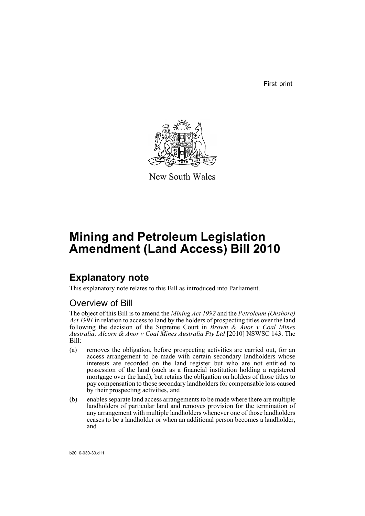First print



New South Wales

# **Mining and Petroleum Legislation Amendment (Land Access) Bill 2010**

## **Explanatory note**

This explanatory note relates to this Bill as introduced into Parliament.

## Overview of Bill

The object of this Bill is to amend the *Mining Act 1992* and the *Petroleum (Onshore) Act 1991* in relation to access to land by the holders of prospecting titles over the land following the decision of the Supreme Court in *Brown & Anor v Coal Mines Australia; Alcorn & Anor v Coal Mines Australia Pty Ltd* [2010] NSWSC 143. The Bill:

- (a) removes the obligation, before prospecting activities are carried out, for an access arrangement to be made with certain secondary landholders whose interests are recorded on the land register but who are not entitled to possession of the land (such as a financial institution holding a registered mortgage over the land), but retains the obligation on holders of those titles to pay compensation to those secondary landholders for compensable loss caused by their prospecting activities, and
- (b) enables separate land access arrangements to be made where there are multiple landholders of particular land and removes provision for the termination of any arrangement with multiple landholders whenever one of those landholders ceases to be a landholder or when an additional person becomes a landholder, and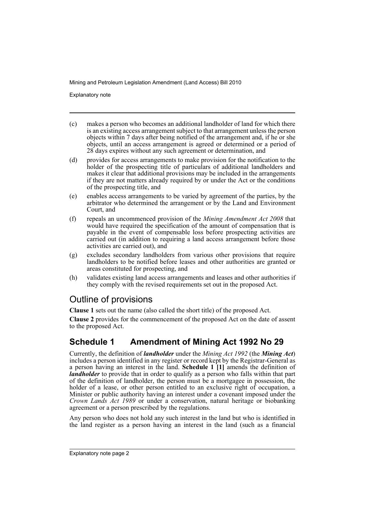Explanatory note

- (c) makes a person who becomes an additional landholder of land for which there is an existing access arrangement subject to that arrangement unless the person objects within 7 days after being notified of the arrangement and, if he or she objects, until an access arrangement is agreed or determined or a period of 28 days expires without any such agreement or determination, and
- (d) provides for access arrangements to make provision for the notification to the holder of the prospecting title of particulars of additional landholders and makes it clear that additional provisions may be included in the arrangements if they are not matters already required by or under the Act or the conditions of the prospecting title, and
- (e) enables access arrangements to be varied by agreement of the parties, by the arbitrator who determined the arrangement or by the Land and Environment Court, and
- (f) repeals an uncommenced provision of the *Mining Amendment Act 2008* that would have required the specification of the amount of compensation that is payable in the event of compensable loss before prospecting activities are carried out (in addition to requiring a land access arrangement before those activities are carried out), and
- (g) excludes secondary landholders from various other provisions that require landholders to be notified before leases and other authorities are granted or areas constituted for prospecting, and
- (h) validates existing land access arrangements and leases and other authorities if they comply with the revised requirements set out in the proposed Act.

## Outline of provisions

**Clause 1** sets out the name (also called the short title) of the proposed Act.

**Clause 2** provides for the commencement of the proposed Act on the date of assent to the proposed Act.

## **Schedule 1 Amendment of Mining Act 1992 No 29**

Currently, the definition of *landholder* under the *Mining Act 1992* (the *Mining Act*) includes a person identified in any register or record kept by the Registrar-General as a person having an interest in the land. **Schedule 1 [1]** amends the definition of *landholder* to provide that in order to qualify as a person who falls within that part of the definition of landholder, the person must be a mortgagee in possession, the holder of a lease, or other person entitled to an exclusive right of occupation, a Minister or public authority having an interest under a covenant imposed under the *Crown Lands Act 1989* or under a conservation, natural heritage or biobanking agreement or a person prescribed by the regulations.

Any person who does not hold any such interest in the land but who is identified in the land register as a person having an interest in the land (such as a financial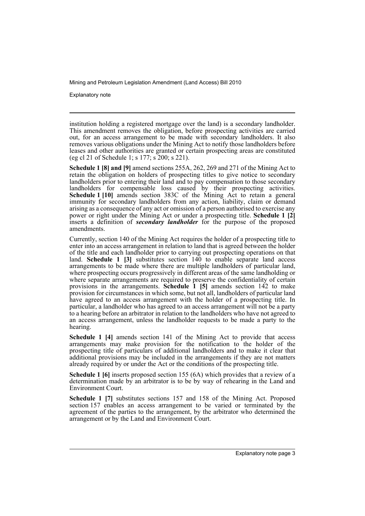Explanatory note

institution holding a registered mortgage over the land) is a secondary landholder. This amendment removes the obligation, before prospecting activities are carried out, for an access arrangement to be made with secondary landholders. It also removes various obligations under the Mining Act to notify those landholders before leases and other authorities are granted or certain prospecting areas are constituted (eg cl 21 of Schedule 1; s 177; s 200; s 221).

**Schedule 1 [8] and [9]** amend sections 255A, 262, 269 and 271 of the Mining Act to retain the obligation on holders of prospecting titles to give notice to secondary landholders prior to entering their land and to pay compensation to those secondary landholders for compensable loss caused by their prospecting activities. **Schedule 1 [10]** amends section 383C of the Mining Act to retain a general immunity for secondary landholders from any action, liability, claim or demand arising as a consequence of any act or omission of a person authorised to exercise any power or right under the Mining Act or under a prospecting title. **Schedule 1 [2]** inserts a definition of *secondary landholder* for the purpose of the proposed amendments.

Currently, section 140 of the Mining Act requires the holder of a prospecting title to enter into an access arrangement in relation to land that is agreed between the holder of the title and each landholder prior to carrying out prospecting operations on that land. **Schedule 1 [3]** substitutes section 140 to enable separate land access arrangements to be made where there are multiple landholders of particular land, where prospecting occurs progressively in different areas of the same landholding or where separate arrangements are required to preserve the confidentiality of certain provisions in the arrangements. **Schedule 1 [5]** amends section 142 to make provision for circumstances in which some, but not all, landholders of particular land have agreed to an access arrangement with the holder of a prospecting title. In particular, a landholder who has agreed to an access arrangement will not be a party to a hearing before an arbitrator in relation to the landholders who have not agreed to an access arrangement, unless the landholder requests to be made a party to the hearing.

**Schedule 1 [4]** amends section 141 of the Mining Act to provide that access arrangements may make provision for the notification to the holder of the prospecting title of particulars of additional landholders and to make it clear that additional provisions may be included in the arrangements if they are not matters already required by or under the Act or the conditions of the prospecting title.

**Schedule 1 [6]** inserts proposed section 155 (6A) which provides that a review of a determination made by an arbitrator is to be by way of rehearing in the Land and Environment Court.

**Schedule 1 [7]** substitutes sections 157 and 158 of the Mining Act. Proposed section 157 enables an access arrangement to be varied or terminated by the agreement of the parties to the arrangement, by the arbitrator who determined the arrangement or by the Land and Environment Court.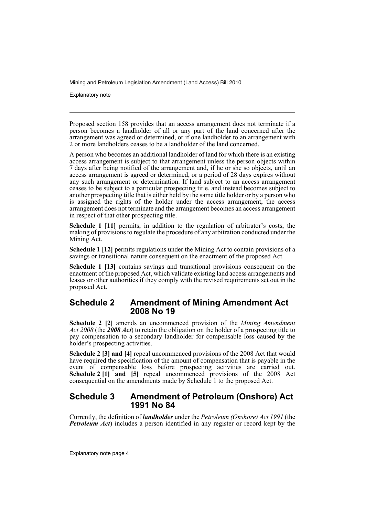Explanatory note

Proposed section 158 provides that an access arrangement does not terminate if a person becomes a landholder of all or any part of the land concerned after the arrangement was agreed or determined, or if one landholder to an arrangement with 2 or more landholders ceases to be a landholder of the land concerned.

A person who becomes an additional landholder of land for which there is an existing access arrangement is subject to that arrangement unless the person objects within 7 days after being notified of the arrangement and, if he or she so objects, until an access arrangement is agreed or determined, or a period of 28 days expires without any such arrangement or determination. If land subject to an access arrangement ceases to be subject to a particular prospecting title, and instead becomes subject to another prospecting title that is either held by the same title holder or by a person who is assigned the rights of the holder under the access arrangement, the access arrangement does not terminate and the arrangement becomes an access arrangement in respect of that other prospecting title.

**Schedule 1 [11]** permits, in addition to the regulation of arbitrator's costs, the making of provisions to regulate the procedure of any arbitration conducted under the Mining Act.

**Schedule 1 [12]** permits regulations under the Mining Act to contain provisions of a savings or transitional nature consequent on the enactment of the proposed Act.

**Schedule 1 [13]** contains savings and transitional provisions consequent on the enactment of the proposed Act, which validate existing land access arrangements and leases or other authorities if they comply with the revised requirements set out in the proposed Act.

## **Schedule 2 Amendment of Mining Amendment Act 2008 No 19**

**Schedule 2 [2]** amends an uncommenced provision of the *Mining Amendment Act 2008* (the *2008 Act*) to retain the obligation on the holder of a prospecting title to pay compensation to a secondary landholder for compensable loss caused by the holder's prospecting activities.

**Schedule 2 [3] and [4]** repeal uncommenced provisions of the 2008 Act that would have required the specification of the amount of compensation that is payable in the event of compensable loss before prospecting activities are carried out. **Schedule 2 [1] and [5]** repeal uncommenced provisions of the 2008 Act consequential on the amendments made by Schedule 1 to the proposed Act.

## **Schedule 3 Amendment of Petroleum (Onshore) Act 1991 No 84**

Currently, the definition of *landholder* under the *Petroleum (Onshore) Act 1991* (the *Petroleum Act*) includes a person identified in any register or record kept by the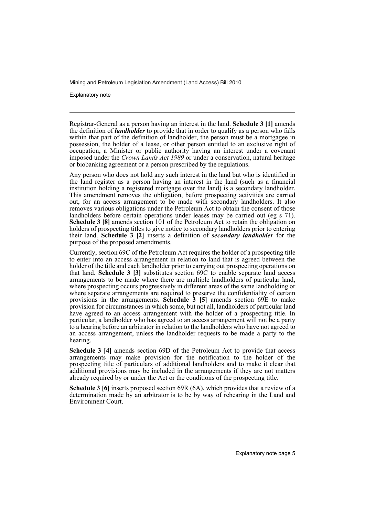Explanatory note

Registrar-General as a person having an interest in the land. **Schedule 3 [1]** amends the definition of *landholder* to provide that in order to qualify as a person who falls within that part of the definition of landholder, the person must be a mortgagee in possession, the holder of a lease, or other person entitled to an exclusive right of occupation, a Minister or public authority having an interest under a covenant imposed under the *Crown Lands Act 1989* or under a conservation, natural heritage or biobanking agreement or a person prescribed by the regulations.

Any person who does not hold any such interest in the land but who is identified in the land register as a person having an interest in the land (such as a financial institution holding a registered mortgage over the land) is a secondary landholder. This amendment removes the obligation, before prospecting activities are carried out, for an access arrangement to be made with secondary landholders. It also removes various obligations under the Petroleum Act to obtain the consent of those landholders before certain operations under leases may be carried out (eg s 71). **Schedule 3 [8]** amends section 101 of the Petroleum Act to retain the obligation on holders of prospecting titles to give notice to secondary landholders prior to entering their land. **Schedule 3 [2]** inserts a definition of *secondary landholder* for the purpose of the proposed amendments.

Currently, section 69C of the Petroleum Act requires the holder of a prospecting title to enter into an access arrangement in relation to land that is agreed between the holder of the title and each landholder prior to carrying out prospecting operations on that land. **Schedule 3 [3]** substitutes section 69C to enable separate land access arrangements to be made where there are multiple landholders of particular land, where prospecting occurs progressively in different areas of the same landholding or where separate arrangements are required to preserve the confidentiality of certain provisions in the arrangements. **Schedule 3 [5]** amends section 69E to make provision for circumstances in which some, but not all, landholders of particular land have agreed to an access arrangement with the holder of a prospecting title. In particular, a landholder who has agreed to an access arrangement will not be a party to a hearing before an arbitrator in relation to the landholders who have not agreed to an access arrangement, unless the landholder requests to be made a party to the hearing.

**Schedule 3 [4]** amends section 69D of the Petroleum Act to provide that access arrangements may make provision for the notification to the holder of the prospecting title of particulars of additional landholders and to make it clear that additional provisions may be included in the arrangements if they are not matters already required by or under the Act or the conditions of the prospecting title.

**Schedule 3 [6]** inserts proposed section 69R (6A), which provides that a review of a determination made by an arbitrator is to be by way of rehearing in the Land and Environment Court.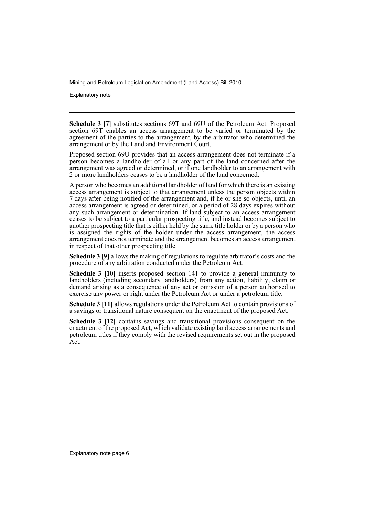Explanatory note

**Schedule 3 [7]** substitutes sections 69T and 69U of the Petroleum Act. Proposed section 69T enables an access arrangement to be varied or terminated by the agreement of the parties to the arrangement, by the arbitrator who determined the arrangement or by the Land and Environment Court.

Proposed section 69U provides that an access arrangement does not terminate if a person becomes a landholder of all or any part of the land concerned after the arrangement was agreed or determined, or if one landholder to an arrangement with 2 or more landholders ceases to be a landholder of the land concerned.

A person who becomes an additional landholder of land for which there is an existing access arrangement is subject to that arrangement unless the person objects within 7 days after being notified of the arrangement and, if he or she so objects, until an access arrangement is agreed or determined, or a period of 28 days expires without any such arrangement or determination. If land subject to an access arrangement ceases to be subject to a particular prospecting title, and instead becomes subject to another prospecting title that is either held by the same title holder or by a person who is assigned the rights of the holder under the access arrangement, the access arrangement does not terminate and the arrangement becomes an access arrangement in respect of that other prospecting title.

**Schedule 3 [9]** allows the making of regulations to regulate arbitrator's costs and the procedure of any arbitration conducted under the Petroleum Act.

**Schedule 3 [10]** inserts proposed section 141 to provide a general immunity to landholders (including secondary landholders) from any action, liability, claim or demand arising as a consequence of any act or omission of a person authorised to exercise any power or right under the Petroleum Act or under a petroleum title.

**Schedule 3 [11]** allows regulations under the Petroleum Act to contain provisions of a savings or transitional nature consequent on the enactment of the proposed Act.

**Schedule 3 [12]** contains savings and transitional provisions consequent on the enactment of the proposed Act, which validate existing land access arrangements and petroleum titles if they comply with the revised requirements set out in the proposed Act.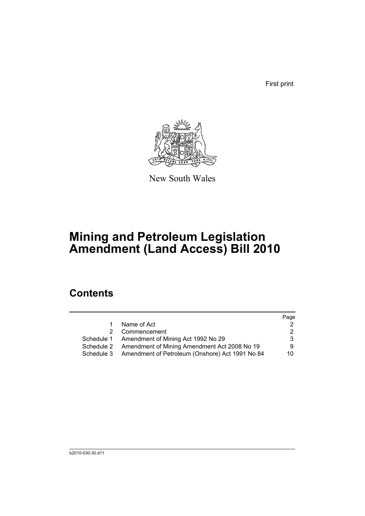First print



New South Wales

# **Mining and Petroleum Legislation Amendment (Land Access) Bill 2010**

## **Contents**

|            |                                                 | Page |
|------------|-------------------------------------------------|------|
| 1.         | Name of Act                                     |      |
|            | 2 Commencement                                  |      |
|            | Schedule 1 Amendment of Mining Act 1992 No 29   | 3    |
| Schedule 2 | Amendment of Mining Amendment Act 2008 No 19    | 9    |
| Schedule 3 | Amendment of Petroleum (Onshore) Act 1991 No 84 | 10   |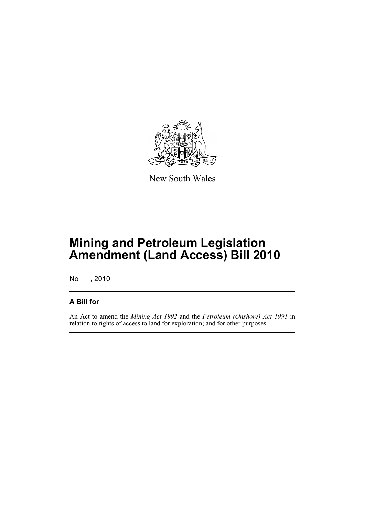

New South Wales

## **Mining and Petroleum Legislation Amendment (Land Access) Bill 2010**

No , 2010

## **A Bill for**

An Act to amend the *Mining Act 1992* and the *Petroleum (Onshore) Act 1991* in relation to rights of access to land for exploration; and for other purposes.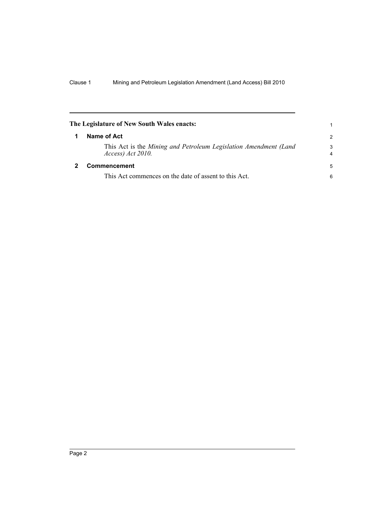<span id="page-9-1"></span><span id="page-9-0"></span>

| The Legislature of New South Wales enacts:                                            | 1                   |
|---------------------------------------------------------------------------------------|---------------------|
| Name of Act                                                                           | $\mathcal{P}$       |
| This Act is the Mining and Petroleum Legislation Amendment (Land<br>Access) Act 2010. | 3<br>$\overline{4}$ |
| Commencement                                                                          | 5                   |
| This Act commences on the date of assent to this Act.                                 | 6                   |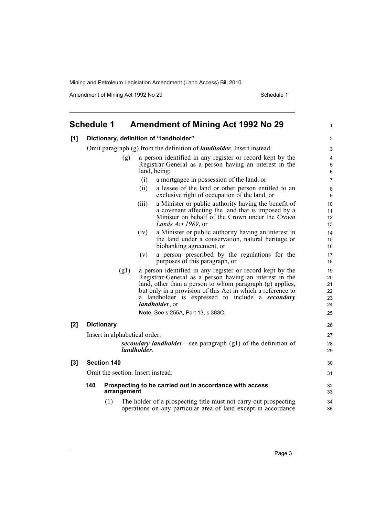Amendment of Mining Act 1992 No 29 Schedule 1

<span id="page-10-0"></span>

|     | <b>Schedule 1</b>                                                             |                                                                               |             | <b>Amendment of Mining Act 1992 No 29</b>                                                                                                                                                                                                                                                                                    | 1                                |  |
|-----|-------------------------------------------------------------------------------|-------------------------------------------------------------------------------|-------------|------------------------------------------------------------------------------------------------------------------------------------------------------------------------------------------------------------------------------------------------------------------------------------------------------------------------------|----------------------------------|--|
| [1] |                                                                               |                                                                               |             | Dictionary, definition of "landholder"                                                                                                                                                                                                                                                                                       | $\overline{c}$                   |  |
|     |                                                                               | Omit paragraph (g) from the definition of <i>landholder</i> . Insert instead: |             |                                                                                                                                                                                                                                                                                                                              |                                  |  |
|     |                                                                               | (g)                                                                           |             | a person identified in any register or record kept by the<br>Registrar-General as a person having an interest in the<br>land, being:                                                                                                                                                                                         | 4<br>5<br>6                      |  |
|     |                                                                               |                                                                               | (i)         | a mortgagee in possession of the land, or                                                                                                                                                                                                                                                                                    | $\overline{7}$                   |  |
|     |                                                                               |                                                                               | (ii)        | a lessee of the land or other person entitled to an<br>exclusive right of occupation of the land, or                                                                                                                                                                                                                         | 8<br>9                           |  |
|     |                                                                               |                                                                               | (iii)       | a Minister or public authority having the benefit of<br>a covenant affecting the land that is imposed by a<br>Minister on behalf of the Crown under the Crown<br>Lands Act 1989, or                                                                                                                                          | 10<br>11<br>12<br>13             |  |
|     |                                                                               |                                                                               | (iv)        | a Minister or public authority having an interest in<br>the land under a conservation, natural heritage or<br>biobanking agreement, or                                                                                                                                                                                       | 14<br>15<br>16                   |  |
|     |                                                                               |                                                                               | (v)         | a person prescribed by the regulations for the<br>purposes of this paragraph, or                                                                                                                                                                                                                                             | 17<br>18                         |  |
|     |                                                                               | (g1)                                                                          |             | a person identified in any register or record kept by the<br>Registrar-General as a person having an interest in the<br>land, other than a person to whom paragraph (g) applies,<br>but only in a provision of this Act in which a reference to<br>a landholder is expressed to include a <b>secondary</b><br>landholder, or | 19<br>20<br>21<br>22<br>23<br>24 |  |
|     |                                                                               |                                                                               |             | Note. See s 255A, Part 13, s 383C.                                                                                                                                                                                                                                                                                           | 25                               |  |
| [2] |                                                                               | <b>Dictionary</b>                                                             |             |                                                                                                                                                                                                                                                                                                                              | 26                               |  |
|     | Insert in alphabetical order:                                                 |                                                                               |             |                                                                                                                                                                                                                                                                                                                              |                                  |  |
|     |                                                                               |                                                                               | landholder. | secondary landholder-see paragraph (g1) of the definition of                                                                                                                                                                                                                                                                 | 28<br>29                         |  |
| [3] |                                                                               | <b>Section 140</b>                                                            |             |                                                                                                                                                                                                                                                                                                                              | 30                               |  |
|     |                                                                               | Omit the section. Insert instead:                                             |             |                                                                                                                                                                                                                                                                                                                              | 31                               |  |
|     | 140<br>Prospecting to be carried out in accordance with access<br>arrangement |                                                                               |             |                                                                                                                                                                                                                                                                                                                              |                                  |  |
|     |                                                                               | (1)                                                                           |             | The holder of a prospecting title must not carry out prospecting<br>operations on any particular area of land except in accordance                                                                                                                                                                                           | 34<br>35                         |  |
|     |                                                                               |                                                                               |             |                                                                                                                                                                                                                                                                                                                              |                                  |  |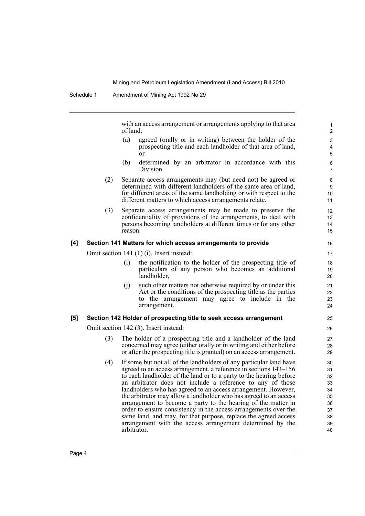with an access arrangement or arrangements applying to that area of land:

- (a) agreed (orally or in writing) between the holder of the prospecting title and each landholder of that area of land, or
- (b) determined by an arbitrator in accordance with this Division.
- (2) Separate access arrangements may (but need not) be agreed or determined with different landholders of the same area of land, for different areas of the same landholding or with respect to the different matters to which access arrangements relate.
- (3) Separate access arrangements may be made to preserve the confidentiality of provisions of the arrangements, to deal with persons becoming landholders at different times or for any other reason.

#### **[4] Section 141 Matters for which access arrangements to provide**

Omit section 141 (1) (i). Insert instead:

- (i) the notification to the holder of the prospecting title of particulars of any person who becomes an additional landholder,
- (j) such other matters not otherwise required by or under this Act or the conditions of the prospecting title as the parties to the arrangement may agree to include in the arrangement.

#### **[5] Section 142 Holder of prospecting title to seek access arrangement**

Omit section 142 (3). Insert instead:

- (3) The holder of a prospecting title and a landholder of the land concerned may agree (either orally or in writing and either before or after the prospecting title is granted) on an access arrangement.
- (4) If some but not all of the landholders of any particular land have agreed to an access arrangement, a reference in sections 143–156 to each landholder of the land or to a party to the hearing before an arbitrator does not include a reference to any of those landholders who has agreed to an access arrangement. However, the arbitrator may allow a landholder who has agreed to an access arrangement to become a party to the hearing of the matter in order to ensure consistency in the access arrangements over the same land, and may, for that purpose, replace the agreed access arrangement with the access arrangement determined by the arbitrator.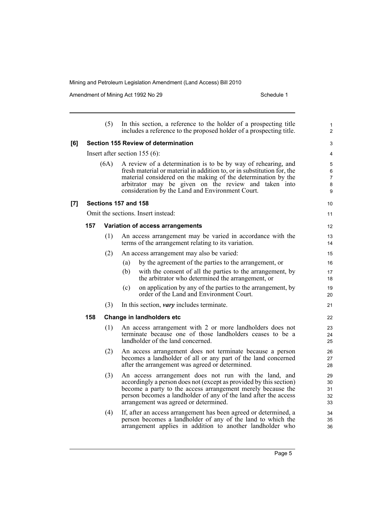Amendment of Mining Act 1992 No 29 Schedule 1

|      |                                            | (5)                             | In this section, a reference to the holder of a prospecting title<br>includes a reference to the proposed holder of a prospecting title.                                                                                                                                                                             | 1<br>$\overline{2}$        |  |  |  |  |
|------|--------------------------------------------|---------------------------------|----------------------------------------------------------------------------------------------------------------------------------------------------------------------------------------------------------------------------------------------------------------------------------------------------------------------|----------------------------|--|--|--|--|
| [6]  | <b>Section 155 Review of determination</b> |                                 |                                                                                                                                                                                                                                                                                                                      |                            |  |  |  |  |
|      |                                            | Insert after section $155(6)$ : |                                                                                                                                                                                                                                                                                                                      |                            |  |  |  |  |
| (6A) |                                            |                                 | A review of a determination is to be by way of rehearing, and<br>fresh material or material in addition to, or in substitution for, the<br>material considered on the making of the determination by the<br>arbitrator may be given on the review and taken into<br>consideration by the Land and Environment Court. |                            |  |  |  |  |
| [7]  |                                            |                                 | Sections 157 and 158                                                                                                                                                                                                                                                                                                 | 10                         |  |  |  |  |
|      |                                            |                                 | Omit the sections. Insert instead:                                                                                                                                                                                                                                                                                   | 11                         |  |  |  |  |
|      | 157                                        |                                 | Variation of access arrangements                                                                                                                                                                                                                                                                                     | 12                         |  |  |  |  |
|      |                                            | (1)                             | An access arrangement may be varied in accordance with the<br>terms of the arrangement relating to its variation.                                                                                                                                                                                                    | 13<br>14                   |  |  |  |  |
|      |                                            | (2)                             | An access arrangement may also be varied:                                                                                                                                                                                                                                                                            | 15                         |  |  |  |  |
|      |                                            |                                 | by the agreement of the parties to the arrangement, or<br>(a)                                                                                                                                                                                                                                                        | 16                         |  |  |  |  |
|      |                                            |                                 | (b)<br>with the consent of all the parties to the arrangement, by<br>the arbitrator who determined the arrangement, or                                                                                                                                                                                               | 17<br>18                   |  |  |  |  |
|      |                                            |                                 | on application by any of the parties to the arrangement, by<br>(c)<br>order of the Land and Environment Court.                                                                                                                                                                                                       | 19<br>20                   |  |  |  |  |
|      |                                            | (3)                             | In this section, <i>vary</i> includes terminate.                                                                                                                                                                                                                                                                     | 21                         |  |  |  |  |
|      | 158                                        |                                 | Change in landholders etc                                                                                                                                                                                                                                                                                            | 22                         |  |  |  |  |
|      |                                            | (1)                             | An access arrangement with 2 or more landholders does not<br>terminate because one of those landholders ceases to be a<br>landholder of the land concerned.                                                                                                                                                          | 23<br>24<br>25             |  |  |  |  |
|      |                                            | (2)                             | An access arrangement does not terminate because a person<br>becomes a landholder of all or any part of the land concerned<br>after the arrangement was agreed or determined.                                                                                                                                        | 26<br>27<br>28             |  |  |  |  |
|      |                                            | (3)                             | An access arrangement does not run with the land, and<br>accordingly a person does not (except as provided by this section)<br>become a party to the access arrangement merely because the<br>person becomes a landholder of any of the land after the access<br>arrangement was agreed or determined.               | 29<br>30<br>31<br>32<br>33 |  |  |  |  |
|      |                                            | (4)                             | If, after an access arrangement has been agreed or determined, a<br>person becomes a landholder of any of the land to which the<br>arrangement applies in addition to another landholder who                                                                                                                         | 34<br>35<br>36             |  |  |  |  |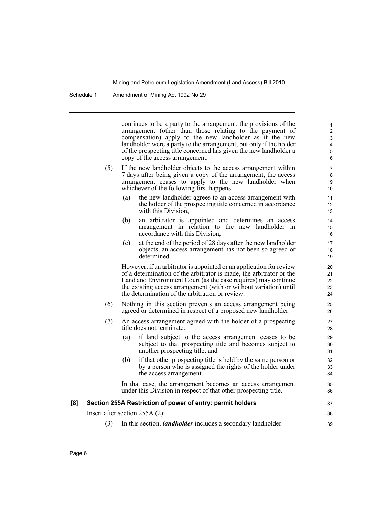continues to be a party to the arrangement, the provisions of the arrangement (other than those relating to the payment of compensation) apply to the new landholder as if the new landholder were a party to the arrangement, but only if the holder of the prospecting title concerned has given the new landholder a copy of the access arrangement.

37 38 39

- (5) If the new landholder objects to the access arrangement within 7 days after being given a copy of the arrangement, the access arrangement ceases to apply to the new landholder when whichever of the following first happens:
	- (a) the new landholder agrees to an access arrangement with the holder of the prospecting title concerned in accordance with this Division,
	- (b) an arbitrator is appointed and determines an access arrangement in relation to the new landholder in accordance with this Division,
	- (c) at the end of the period of 28 days after the new landholder objects, an access arrangement has not been so agreed or determined.

However, if an arbitrator is appointed or an application for review of a determination of the arbitrator is made, the arbitrator or the Land and Environment Court (as the case requires) may continue the existing access arrangement (with or without variation) until the determination of the arbitration or review.

- (6) Nothing in this section prevents an access arrangement being agreed or determined in respect of a proposed new landholder.
- (7) An access arrangement agreed with the holder of a prospecting title does not terminate:
	- (a) if land subject to the access arrangement ceases to be subject to that prospecting title and becomes subject to another prospecting title, and
	- (b) if that other prospecting title is held by the same person or by a person who is assigned the rights of the holder under the access arrangement.

In that case, the arrangement becomes an access arrangement under this Division in respect of that other prospecting title.

#### **[8] Section 255A Restriction of power of entry: permit holders**

Insert after section 255A (2):

(3) In this section, *landholder* includes a secondary landholder.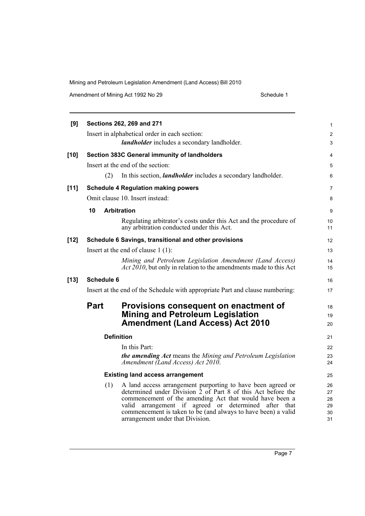Amendment of Mining Act 1992 No 29 Schedule 1

| [9]    | Sections 262, 269 and 271                                                     |                                                                                                                                                                                                                                                                                                                                                        |                                  |  |  |  |  |
|--------|-------------------------------------------------------------------------------|--------------------------------------------------------------------------------------------------------------------------------------------------------------------------------------------------------------------------------------------------------------------------------------------------------------------------------------------------------|----------------------------------|--|--|--|--|
|        |                                                                               | Insert in alphabetical order in each section:                                                                                                                                                                                                                                                                                                          | $\overline{\mathbf{c}}$          |  |  |  |  |
|        |                                                                               | landholder includes a secondary landholder.                                                                                                                                                                                                                                                                                                            | 3                                |  |  |  |  |
| $[10]$ |                                                                               | Section 383C General immunity of landholders                                                                                                                                                                                                                                                                                                           | 4                                |  |  |  |  |
|        |                                                                               | Insert at the end of the section:                                                                                                                                                                                                                                                                                                                      | 5                                |  |  |  |  |
|        | (2)                                                                           | In this section, <i>landholder</i> includes a secondary landholder.                                                                                                                                                                                                                                                                                    | 6                                |  |  |  |  |
| $[11]$ |                                                                               | <b>Schedule 4 Regulation making powers</b>                                                                                                                                                                                                                                                                                                             | 7                                |  |  |  |  |
|        |                                                                               | Omit clause 10. Insert instead:                                                                                                                                                                                                                                                                                                                        | 8                                |  |  |  |  |
|        | 10                                                                            | <b>Arbitration</b>                                                                                                                                                                                                                                                                                                                                     | 9                                |  |  |  |  |
|        |                                                                               | Regulating arbitrator's costs under this Act and the procedure of<br>any arbitration conducted under this Act.                                                                                                                                                                                                                                         | 10<br>11                         |  |  |  |  |
| $[12]$ |                                                                               | Schedule 6 Savings, transitional and other provisions                                                                                                                                                                                                                                                                                                  | 12                               |  |  |  |  |
|        |                                                                               | Insert at the end of clause $1(1)$ :                                                                                                                                                                                                                                                                                                                   | 13                               |  |  |  |  |
|        |                                                                               | Mining and Petroleum Legislation Amendment (Land Access)<br>$Act 2010$ , but only in relation to the amendments made to this Act                                                                                                                                                                                                                       | 14<br>15                         |  |  |  |  |
| $[13]$ | <b>Schedule 6</b>                                                             |                                                                                                                                                                                                                                                                                                                                                        | 16                               |  |  |  |  |
|        | Insert at the end of the Schedule with appropriate Part and clause numbering: |                                                                                                                                                                                                                                                                                                                                                        |                                  |  |  |  |  |
|        | Part                                                                          | Provisions consequent on enactment of<br><b>Mining and Petroleum Legislation</b><br><b>Amendment (Land Access) Act 2010</b>                                                                                                                                                                                                                            | 18<br>19<br>20                   |  |  |  |  |
|        | <b>Definition</b>                                                             |                                                                                                                                                                                                                                                                                                                                                        |                                  |  |  |  |  |
|        |                                                                               | In this Part:                                                                                                                                                                                                                                                                                                                                          | 22                               |  |  |  |  |
|        |                                                                               | the amending Act means the Mining and Petroleum Legislation<br>Amendment (Land Access) Act 2010.                                                                                                                                                                                                                                                       | 23<br>24                         |  |  |  |  |
|        | <b>Existing land access arrangement</b>                                       |                                                                                                                                                                                                                                                                                                                                                        |                                  |  |  |  |  |
|        | (1)                                                                           | A land access arrangement purporting to have been agreed or<br>determined under Division 2 of Part 8 of this Act before the<br>commencement of the amending Act that would have been a<br>arrangement if agreed or determined after that<br>valid<br>commencement is taken to be (and always to have been) a valid<br>arrangement under that Division. | 26<br>27<br>28<br>29<br>30<br>31 |  |  |  |  |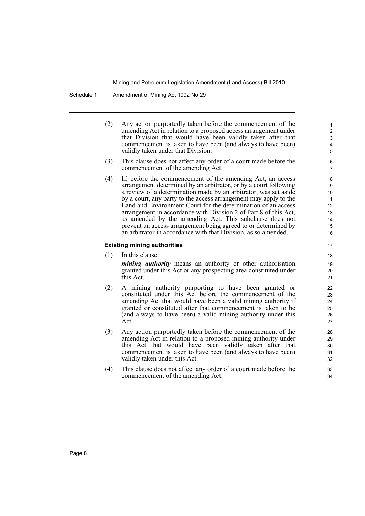(2) Any action purportedly taken before the commencement of the amending Act in relation to a proposed access arrangement under that Division that would have been validly taken after that commencement is taken to have been (and always to have been) validly taken under that Division.

- (3) This clause does not affect any order of a court made before the commencement of the amending Act.
- (4) If, before the commencement of the amending Act, an access arrangement determined by an arbitrator, or by a court following a review of a determination made by an arbitrator, was set aside by a court, any party to the access arrangement may apply to the Land and Environment Court for the determination of an access arrangement in accordance with Division 2 of Part 8 of this Act, as amended by the amending Act. This subclause does not prevent an access arrangement being agreed to or determined by an arbitrator in accordance with that Division, as so amended.

#### **Existing mining authorities**

(1) In this clause:

*mining authority* means an authority or other authorisation granted under this Act or any prospecting area constituted under this Act.

- (2) A mining authority purporting to have been granted or constituted under this Act before the commencement of the amending Act that would have been a valid mining authority if granted or constituted after that commencement is taken to be (and always to have been) a valid mining authority under this Act.
- (3) Any action purportedly taken before the commencement of the amending Act in relation to a proposed mining authority under this Act that would have been validly taken after that commencement is taken to have been (and always to have been) validly taken under this Act.
- (4) This clause does not affect any order of a court made before the commencement of the amending Act.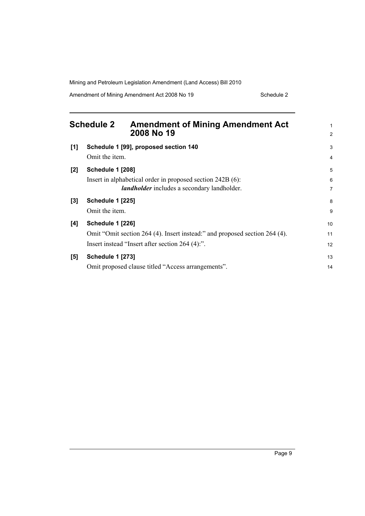Amendment of Mining Amendment Act 2008 No 19 Schedule 2

<span id="page-16-0"></span>

|       | <b>Schedule 2</b>                         | <b>Amendment of Mining Amendment Act</b><br>2008 No 19                                                                        | 1<br>$\overline{2}$ |
|-------|-------------------------------------------|-------------------------------------------------------------------------------------------------------------------------------|---------------------|
| [1]   | Omit the item.                            | Schedule 1 [99], proposed section 140                                                                                         | 3<br>$\overline{4}$ |
| $[2]$ | <b>Schedule 1 [208]</b>                   | Insert in alphabetical order in proposed section 242B (6):<br><i>landholder</i> includes a secondary landholder.              | 5<br>6<br>7         |
| $[3]$ | <b>Schedule 1 [225]</b><br>Omit the item. |                                                                                                                               | 8<br>9              |
| [4]   | <b>Schedule 1 [226]</b>                   | Omit "Omit section 264 (4). Insert instead:" and proposed section 264 (4).<br>Insert instead "Insert after section 264 (4):". | 10<br>11<br>12      |
| [5]   | <b>Schedule 1 [273]</b>                   | Omit proposed clause titled "Access arrangements".                                                                            | 13<br>14            |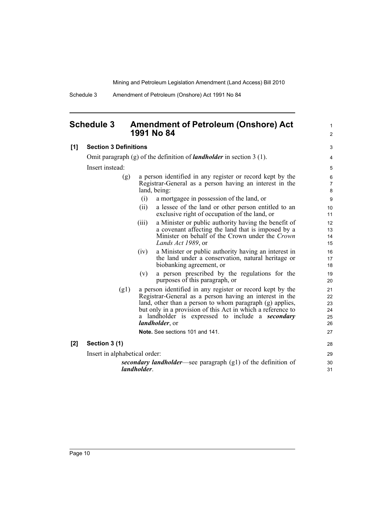1  $\mathfrak{p}$ 

Schedule 3 Amendment of Petroleum (Onshore) Act 1991 No 84

### <span id="page-17-0"></span>**Schedule 3 Amendment of Petroleum (Onshore) Act 1991 No 84**

#### **[1] Section 3 Definitions** Omit paragraph (g) of the definition of *landholder* in section 3 (1). Insert instead: (g) a person identified in any register or record kept by the Registrar-General as a person having an interest in the land, being: (i) a mortgagee in possession of the land, or (ii) a lessee of the land or other person entitled to an exclusive right of occupation of the land, or (iii) a Minister or public authority having the benefit of a covenant affecting the land that is imposed by a Minister on behalf of the Crown under the *Crown Lands Act 1989*, or (iv) a Minister or public authority having an interest in the land under a conservation, natural heritage or biobanking agreement, or (v) a person prescribed by the regulations for the purposes of this paragraph, or (g1) a person identified in any register or record kept by the Registrar-General as a person having an interest in the land, other than a person to whom paragraph (g) applies, but only in a provision of this Act in which a reference to a landholder is expressed to include a *secondary landholder*, or **Note.** See sections 101 and 141. **[2] Section 3 (1)** Insert in alphabetical order: *secondary landholder*—see paragraph (g1) of the definition of *landholder*.  $\overline{a}$ 4 5 6 7 8 9 10 11 12 13 14 15 16 17 18 19 20  $21$ 22 23 24 25 26 27 28 29 30 31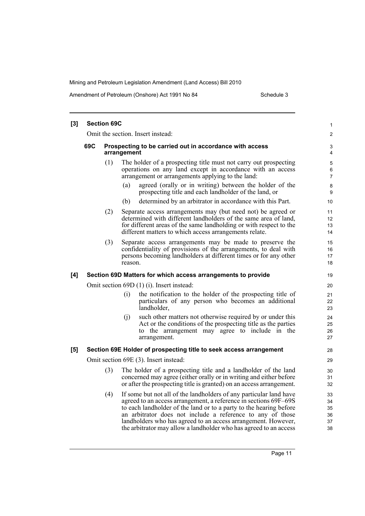Amendment of Petroleum (Onshore) Act 1991 No 84 Schedule 3

| $[3]$ |                                                                                                                                                                                            | <b>Section 69C</b> |                                       |                                                                                                                                                                                                                                                                                                                                                                                                                  | 1                                |  |  |  |
|-------|--------------------------------------------------------------------------------------------------------------------------------------------------------------------------------------------|--------------------|---------------------------------------|------------------------------------------------------------------------------------------------------------------------------------------------------------------------------------------------------------------------------------------------------------------------------------------------------------------------------------------------------------------------------------------------------------------|----------------------------------|--|--|--|
|       |                                                                                                                                                                                            |                    | Omit the section. Insert instead:     |                                                                                                                                                                                                                                                                                                                                                                                                                  |                                  |  |  |  |
|       | 69C<br>Prospecting to be carried out in accordance with access<br>arrangement                                                                                                              |                    |                                       |                                                                                                                                                                                                                                                                                                                                                                                                                  |                                  |  |  |  |
|       | (1)<br>The holder of a prospecting title must not carry out prospecting<br>operations on any land except in accordance with an access<br>arrangement or arrangements applying to the land: |                    |                                       |                                                                                                                                                                                                                                                                                                                                                                                                                  |                                  |  |  |  |
|       |                                                                                                                                                                                            |                    | (a)                                   | agreed (orally or in writing) between the holder of the<br>prospecting title and each landholder of the land, or                                                                                                                                                                                                                                                                                                 | 8<br>9                           |  |  |  |
|       |                                                                                                                                                                                            |                    | (b)                                   | determined by an arbitrator in accordance with this Part.                                                                                                                                                                                                                                                                                                                                                        | 10 <sup>°</sup>                  |  |  |  |
|       |                                                                                                                                                                                            | (2)                |                                       | Separate access arrangements may (but need not) be agreed or<br>determined with different landholders of the same area of land,<br>for different areas of the same landholding or with respect to the<br>different matters to which access arrangements relate.                                                                                                                                                  | 11<br>12<br>13<br>14             |  |  |  |
|       |                                                                                                                                                                                            | (3)                | reason.                               | Separate access arrangements may be made to preserve the<br>confidentiality of provisions of the arrangements, to deal with<br>persons becoming landholders at different times or for any other                                                                                                                                                                                                                  | 15<br>16<br>17<br>18             |  |  |  |
| [4]   |                                                                                                                                                                                            |                    |                                       | Section 69D Matters for which access arrangements to provide                                                                                                                                                                                                                                                                                                                                                     | 19                               |  |  |  |
|       | Omit section 69D (1) (i). Insert instead:                                                                                                                                                  |                    |                                       |                                                                                                                                                                                                                                                                                                                                                                                                                  |                                  |  |  |  |
|       |                                                                                                                                                                                            |                    | (i)<br>landholder,                    | the notification to the holder of the prospecting title of<br>particulars of any person who becomes an additional                                                                                                                                                                                                                                                                                                | 21<br>22<br>23                   |  |  |  |
|       |                                                                                                                                                                                            |                    | (i)<br>arrangement.                   | such other matters not otherwise required by or under this<br>Act or the conditions of the prospecting title as the parties<br>to the arrangement may agree to include in the                                                                                                                                                                                                                                    | 24<br>25<br>26<br>27             |  |  |  |
| [5]   |                                                                                                                                                                                            |                    |                                       | Section 69E Holder of prospecting title to seek access arrangement                                                                                                                                                                                                                                                                                                                                               | 28                               |  |  |  |
|       |                                                                                                                                                                                            |                    | Omit section 69E (3). Insert instead: |                                                                                                                                                                                                                                                                                                                                                                                                                  | 29                               |  |  |  |
|       |                                                                                                                                                                                            | (3)                |                                       | The holder of a prospecting title and a landholder of the land<br>concerned may agree (either orally or in writing and either before<br>or after the prospecting title is granted) on an access arrangement.                                                                                                                                                                                                     | 30<br>31<br>32                   |  |  |  |
|       |                                                                                                                                                                                            | (4)                |                                       | If some but not all of the landholders of any particular land have<br>agreed to an access arrangement, a reference in sections 69F-69S<br>to each landholder of the land or to a party to the hearing before<br>an arbitrator does not include a reference to any of those<br>landholders who has agreed to an access arrangement. However,<br>the arbitrator may allow a landholder who has agreed to an access | 33<br>34<br>35<br>36<br>37<br>38 |  |  |  |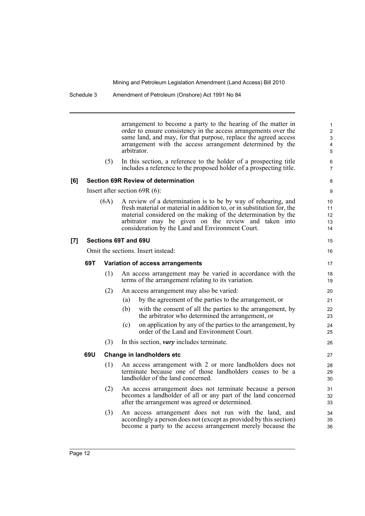arrangement to become a party to the hearing of the matter in order to ensure consistency in the access arrangements over the same land, and may, for that purpose, replace the agreed access arrangement with the access arrangement determined by the arbitrator.

(5) In this section, a reference to the holder of a prospecting title includes a reference to the proposed holder of a prospecting title.

#### **[6] Section 69R Review of determination**

Insert after section 69R (6):

(6A) A review of a determination is to be by way of rehearing, and fresh material or material in addition to, or in substitution for, the material considered on the making of the determination by the arbitrator may be given on the review and taken into consideration by the Land and Environment Court.

### **[7] Sections 69T and 69U**

Omit the sections. Insert instead:

### **69T Variation of access arrangements**

- (1) An access arrangement may be varied in accordance with the terms of the arrangement relating to its variation.
- (2) An access arrangement may also be varied:
	- (a) by the agreement of the parties to the arrangement, or
	- (b) with the consent of all the parties to the arrangement, by the arbitrator who determined the arrangement, or
	- (c) on application by any of the parties to the arrangement, by order of the Land and Environment Court.
- (3) In this section, *vary* includes terminate.

### **69U Change in landholders etc**

- (1) An access arrangement with 2 or more landholders does not terminate because one of those landholders ceases to be a landholder of the land concerned.
- (2) An access arrangement does not terminate because a person becomes a landholder of all or any part of the land concerned after the arrangement was agreed or determined.
- (3) An access arrangement does not run with the land, and accordingly a person does not (except as provided by this section) become a party to the access arrangement merely because the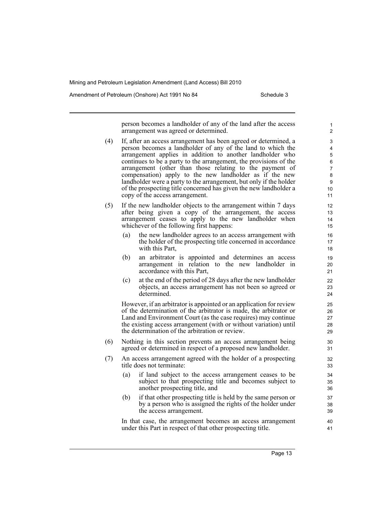Amendment of Petroleum (Onshore) Act 1991 No 84 Schedule 3

person becomes a landholder of any of the land after the access arrangement was agreed or determined.

- (4) If, after an access arrangement has been agreed or determined, a person becomes a landholder of any of the land to which the arrangement applies in addition to another landholder who continues to be a party to the arrangement, the provisions of the arrangement (other than those relating to the payment of compensation) apply to the new landholder as if the new landholder were a party to the arrangement, but only if the holder of the prospecting title concerned has given the new landholder a copy of the access arrangement.
- (5) If the new landholder objects to the arrangement within 7 days after being given a copy of the arrangement, the access arrangement ceases to apply to the new landholder when whichever of the following first happens:
	- (a) the new landholder agrees to an access arrangement with the holder of the prospecting title concerned in accordance with this Part,
	- (b) an arbitrator is appointed and determines an access arrangement in relation to the new landholder in accordance with this Part,
	- (c) at the end of the period of 28 days after the new landholder objects, an access arrangement has not been so agreed or determined.

However, if an arbitrator is appointed or an application for review of the determination of the arbitrator is made, the arbitrator or Land and Environment Court (as the case requires) may continue the existing access arrangement (with or without variation) until the determination of the arbitration or review.

- (6) Nothing in this section prevents an access arrangement being agreed or determined in respect of a proposed new landholder.
- (7) An access arrangement agreed with the holder of a prospecting title does not terminate:
	- (a) if land subject to the access arrangement ceases to be subject to that prospecting title and becomes subject to another prospecting title, and
	- (b) if that other prospecting title is held by the same person or by a person who is assigned the rights of the holder under the access arrangement.

In that case, the arrangement becomes an access arrangement under this Part in respect of that other prospecting title.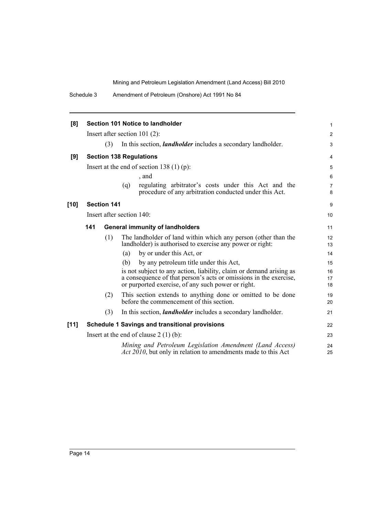| [8]    | Section 101 Notice to landholder              |                                             |     |                                                                                                                                                                                                | 1                   |  |
|--------|-----------------------------------------------|---------------------------------------------|-----|------------------------------------------------------------------------------------------------------------------------------------------------------------------------------------------------|---------------------|--|
|        |                                               | Insert after section 101 $(2)$ :            |     |                                                                                                                                                                                                |                     |  |
|        |                                               | (3)                                         |     | In this section, <i>landholder</i> includes a secondary landholder.                                                                                                                            | 3                   |  |
| [9]    |                                               |                                             |     | <b>Section 138 Regulations</b>                                                                                                                                                                 | 4                   |  |
|        |                                               | Insert at the end of section 138 $(1)$ (p): |     |                                                                                                                                                                                                |                     |  |
|        |                                               |                                             |     | , and                                                                                                                                                                                          | 6                   |  |
|        |                                               |                                             | (q) | regulating arbitrator's costs under this Act and the<br>procedure of any arbitration conducted under this Act.                                                                                 | $\overline{7}$<br>8 |  |
| $[10]$ |                                               | <b>Section 141</b>                          |     |                                                                                                                                                                                                | 9                   |  |
|        | Insert after section 140:                     |                                             |     |                                                                                                                                                                                                |                     |  |
|        | 141<br><b>General immunity of landholders</b> |                                             |     |                                                                                                                                                                                                |                     |  |
|        |                                               | (1)                                         |     | The landholder of land within which any person (other than the<br>landholder) is authorised to exercise any power or right:                                                                    | 12<br>13            |  |
|        |                                               |                                             | (a) | by or under this Act, or                                                                                                                                                                       | 14                  |  |
|        |                                               |                                             | (b) | by any petroleum title under this Act,                                                                                                                                                         | 15                  |  |
|        |                                               |                                             |     | is not subject to any action, liability, claim or demand arising as<br>a consequence of that person's acts or omissions in the exercise,<br>or purported exercise, of any such power or right. | 16<br>17<br>18      |  |
|        |                                               | (2)                                         |     | This section extends to anything done or omitted to be done<br>before the commencement of this section.                                                                                        | 19<br>20            |  |
|        |                                               | (3)                                         |     | In this section, <i>landholder</i> includes a secondary landholder.                                                                                                                            | 21                  |  |
| [11]   |                                               |                                             |     | <b>Schedule 1 Savings and transitional provisions</b>                                                                                                                                          | 22                  |  |
|        | Insert at the end of clause $2(1)(b)$ :       |                                             |     |                                                                                                                                                                                                | 23                  |  |
|        |                                               |                                             |     | Mining and Petroleum Legislation Amendment (Land Access)<br><i>Act 2010</i> , but only in relation to amendments made to this Act                                                              | 24<br>25            |  |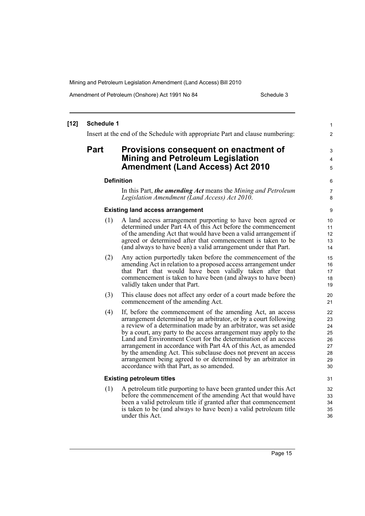Amendment of Petroleum (Onshore) Act 1991 No 84 Schedule 3

#### **[12] Schedule 1** Insert at the end of the Schedule with appropriate Part and clause numbering: **Part Provisions consequent on enactment of Mining and Petroleum Legislation Amendment (Land Access) Act 2010 Definition** In this Part, *the amending Act* means the *Mining and Petroleum Legislation Amendment (Land Access) Act 2010*. **Existing land access arrangement** (1) A land access arrangement purporting to have been agreed or determined under Part 4A of this Act before the commencement of the amending Act that would have been a valid arrangement if agreed or determined after that commencement is taken to be (and always to have been) a valid arrangement under that Part. (2) Any action purportedly taken before the commencement of the amending Act in relation to a proposed access arrangement under that Part that would have been validly taken after that commencement is taken to have been (and always to have been) validly taken under that Part. (3) This clause does not affect any order of a court made before the commencement of the amending Act. (4) If, before the commencement of the amending Act, an access arrangement determined by an arbitrator, or by a court following a review of a determination made by an arbitrator, was set aside by a court, any party to the access arrangement may apply to the Land and Environment Court for the determination of an access arrangement in accordance with Part 4A of this Act, as amended by the amending Act. This subclause does not prevent an access arrangement being agreed to or determined by an arbitrator in accordance with that Part, as so amended. **Existing petroleum titles** (1) A petroleum title purporting to have been granted under this Act before the commencement of the amending Act that would have been a valid petroleum title if granted after that commencement is taken to be (and always to have been) a valid petroleum title under this Act. 1 2 3 4 5 6 7 8 9 10 11 12 13 14 15 16 17 18 19 20 21 22 23  $24$ 25 26 27 28 29 30 31 32 33 34 35 36